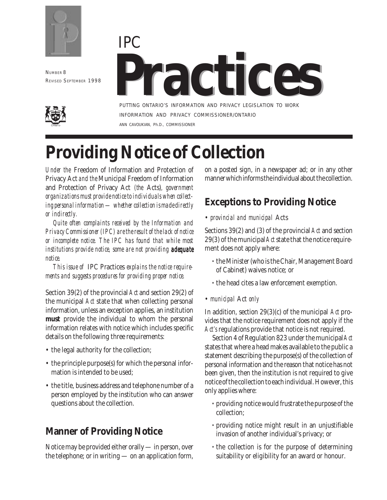

NUMBER 8 REVISED SEPTEMBER 1998





PUTTING ONTARIO'S INFORMATION AND PRIVACY LEGISLATION TO WORK INFORMATION AND PRIVACY COMMISSIONER/ONTARIO ANN CAVOUKIAN, Ph.D., COMMISSIONER

# **Providing Notice of Collection**

*Under the* Freedom of Information and Protection of Privacy Act *and the* Municipal Freedom of Information and Protection of Privacy Act *(the* Acts)*, government organizations must provide notice to individuals when collecting personal information — whether collection is made directly or indirectly.*

*Quite often complaints received by the Information and Privacy Commissioner (IPC) are the result of the lack of notice or incomplete notice. The IPC has found that while most institutions provide notice, some are not providing adequate notice.*

*This issue of* IPC Practices *explains the notice requirements and suggests procedures for providing proper notice.*

Section 39(2) of the provincial *Act* and section 29(2) of the municipal *Act* state that when collecting personal information, unless an exception applies, an institution **must** provide the individual to whom the personal information relates with notice which includes specific details on the following three requirements:

- the legal authority for the collection;
- the principle purpose(s) for which the personal information is intended to be used:
- the title, business address and telephone number of a person employed by the institution who can answer questions about the collection.

## **Manner of Providing Notice**

Notice may be provided either orally — in person, over the telephone; or in writing — on an application form, on a posted sign, in a newspaper ad; or in any other manner which informs the individual about the collection.

# **Exceptions to Providing Notice**

• *provincial and municipal* Acts

Sections 39(2) and (3) of the provincial *Act* and section 29(3) of the municipal *Act* state that the notice requirement does not apply where:

- **·** the Minister (who is the Chair, Management Board of Cabinet) waives notice; or
- **·** the head cites a law enforcement exemption.
- *municipal* Act *only*

In addition, section 29(3)(c) of the municipal *Act* provides that the notice requirement does not apply if the *Act's* regulations provide that notice is not required.

Section 4 of Regulation 823 under the municipal *Act* states that where a head makes available to the public a statement describing the purpose(s) of the collection of personal information and the reason that notice has not been given, then the institution is not required to give notice of the collection to each individual. However, this only applies where:

- **·** providing notice would frustrate the purpose of the collection;
- **·** providing notice might result in an unjustifiable invasion of another individual's privacy; or
- **·** the collection is for the purpose of determining suitability or eligibility for an award or honour.